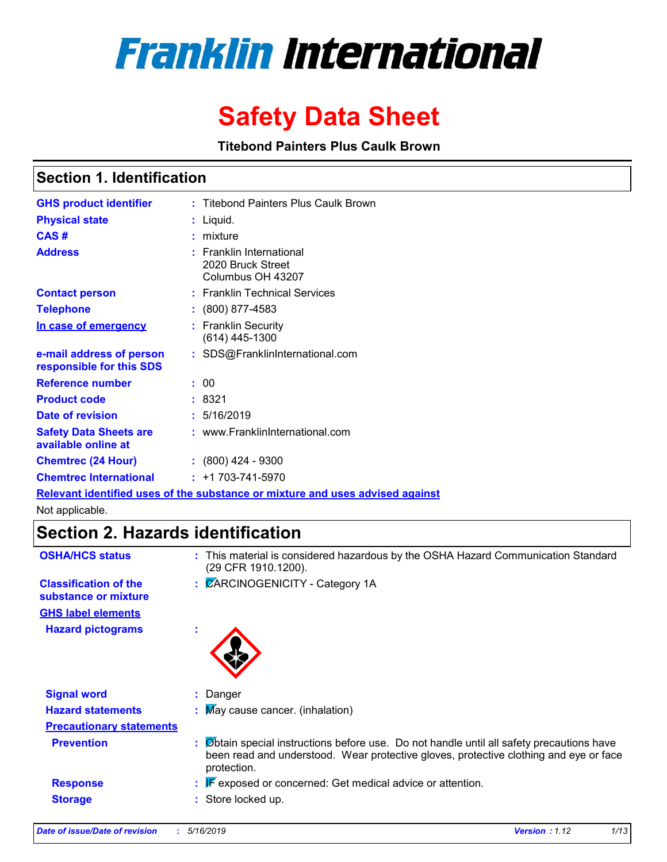

# **Safety Data Sheet**

**Titebond Painters Plus Caulk Brown**

### **Section 1. Identification**

| <b>GHS product identifier</b>                        | : Titebond Painters Plus Caulk Brown                                          |
|------------------------------------------------------|-------------------------------------------------------------------------------|
| <b>Physical state</b>                                | $:$ Liquid.                                                                   |
| CAS#                                                 | $:$ mixture                                                                   |
| <b>Address</b>                                       | $:$ Franklin International<br>2020 Bruck Street<br>Columbus OH 43207          |
| <b>Contact person</b>                                | : Franklin Technical Services                                                 |
| <b>Telephone</b>                                     | $: (800) 877-4583$                                                            |
| In case of emergency                                 | : Franklin Security<br>$(614)$ 445-1300                                       |
| e-mail address of person<br>responsible for this SDS | : SDS@FranklinInternational.com                                               |
| <b>Reference number</b>                              | : 00                                                                          |
| <b>Product code</b>                                  | : 8321                                                                        |
| <b>Date of revision</b>                              | : 5/16/2019                                                                   |
| <b>Safety Data Sheets are</b><br>available online at | : www.FranklinInternational.com                                               |
| <b>Chemtrec (24 Hour)</b>                            | : (800) 424 - 9300                                                            |
| <b>Chemtrec International</b>                        | $: +1703 - 741 - 5970$                                                        |
|                                                      | Relevant identified uses of the substance or mixture and uses advised against |

Not applicable.

### **Section 2. Hazards identification**

| <b>OSHA/HCS status</b>                               | : This material is considered hazardous by the OSHA Hazard Communication Standard<br>(29 CFR 1910.1200).                                                                                          |
|------------------------------------------------------|---------------------------------------------------------------------------------------------------------------------------------------------------------------------------------------------------|
| <b>Classification of the</b><br>substance or mixture | : CARCINOGENICITY - Category 1A                                                                                                                                                                   |
| <b>GHS label elements</b>                            |                                                                                                                                                                                                   |
| <b>Hazard pictograms</b>                             | ×.                                                                                                                                                                                                |
| <b>Signal word</b>                                   | : Danger                                                                                                                                                                                          |
| <b>Hazard statements</b>                             | : May cause cancer. (inhalation)                                                                                                                                                                  |
| <b>Precautionary statements</b>                      |                                                                                                                                                                                                   |
| <b>Prevention</b>                                    | : Øbtain special instructions before use. Do not handle until all safety precautions have<br>been read and understood. Wear protective gloves, protective clothing and eye or face<br>protection. |
| <b>Response</b>                                      | $\mathbb{F}$ exposed or concerned: Get medical advice or attention.                                                                                                                               |
| <b>Storage</b>                                       | : Store locked up.                                                                                                                                                                                |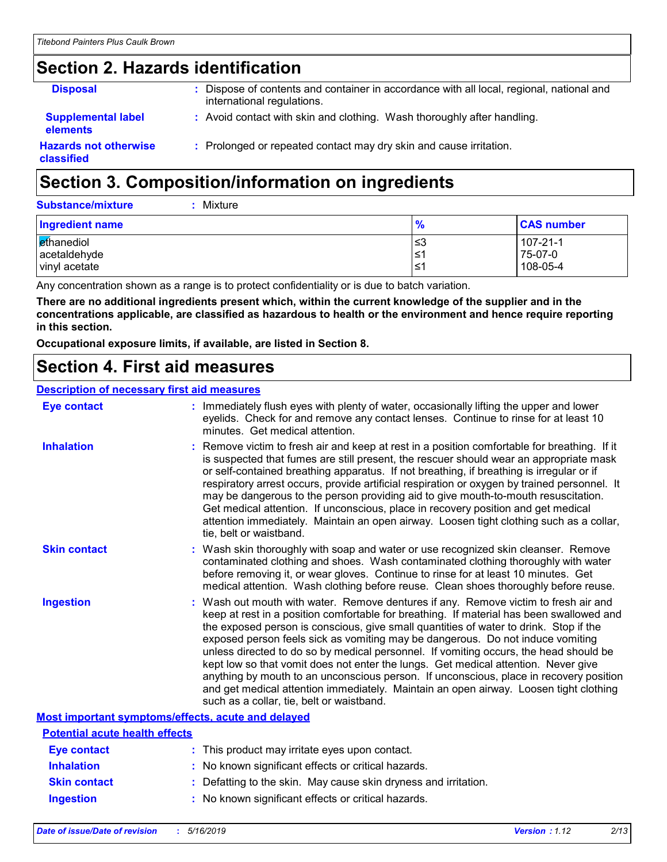# **Section 2. Hazards identification**

| <b>Disposal</b>                              | : Dispose of contents and container in accordance with all local, regional, national and<br>international regulations. |
|----------------------------------------------|------------------------------------------------------------------------------------------------------------------------|
| <b>Supplemental label</b><br><b>elements</b> | : Avoid contact with skin and clothing. Wash thoroughly after handling.                                                |
| <b>Hazards not otherwise</b><br>classified   | : Prolonged or repeated contact may dry skin and cause irritation.                                                     |

# **Section 3. Composition/information on ingredients**

| <b>Substance/mixture</b> | : Mixture |
|--------------------------|-----------|
|                          |           |

| <b>Ingredient name</b> | %   | <b>CAS number</b> |
|------------------------|-----|-------------------|
| ethanediol             | ≤3  | 107-21-1          |
| acetaldehyde           | l≤1 | 75-07-0           |
| vinyl acetate          | '≥ا | 108-05-4          |

Any concentration shown as a range is to protect confidentiality or is due to batch variation.

**There are no additional ingredients present which, within the current knowledge of the supplier and in the concentrations applicable, are classified as hazardous to health or the environment and hence require reporting in this section.**

**Occupational exposure limits, if available, are listed in Section 8.**

### **Section 4. First aid measures**

#### **Description of necessary first aid measures**

| <b>Eye contact</b>                                 | : Immediately flush eyes with plenty of water, occasionally lifting the upper and lower<br>eyelids. Check for and remove any contact lenses. Continue to rinse for at least 10<br>minutes. Get medical attention.                                                                                                                                                                                                                                                                                                                                                                                                                                                                                                                                                         |
|----------------------------------------------------|---------------------------------------------------------------------------------------------------------------------------------------------------------------------------------------------------------------------------------------------------------------------------------------------------------------------------------------------------------------------------------------------------------------------------------------------------------------------------------------------------------------------------------------------------------------------------------------------------------------------------------------------------------------------------------------------------------------------------------------------------------------------------|
| <b>Inhalation</b>                                  | : Remove victim to fresh air and keep at rest in a position comfortable for breathing. If it<br>is suspected that fumes are still present, the rescuer should wear an appropriate mask<br>or self-contained breathing apparatus. If not breathing, if breathing is irregular or if<br>respiratory arrest occurs, provide artificial respiration or oxygen by trained personnel. It<br>may be dangerous to the person providing aid to give mouth-to-mouth resuscitation.<br>Get medical attention. If unconscious, place in recovery position and get medical<br>attention immediately. Maintain an open airway. Loosen tight clothing such as a collar,<br>tie, belt or waistband.                                                                                       |
| <b>Skin contact</b>                                | : Wash skin thoroughly with soap and water or use recognized skin cleanser. Remove<br>contaminated clothing and shoes. Wash contaminated clothing thoroughly with water<br>before removing it, or wear gloves. Continue to rinse for at least 10 minutes. Get<br>medical attention. Wash clothing before reuse. Clean shoes thoroughly before reuse.                                                                                                                                                                                                                                                                                                                                                                                                                      |
| <b>Ingestion</b>                                   | : Wash out mouth with water. Remove dentures if any. Remove victim to fresh air and<br>keep at rest in a position comfortable for breathing. If material has been swallowed and<br>the exposed person is conscious, give small quantities of water to drink. Stop if the<br>exposed person feels sick as vomiting may be dangerous. Do not induce vomiting<br>unless directed to do so by medical personnel. If vomiting occurs, the head should be<br>kept low so that vomit does not enter the lungs. Get medical attention. Never give<br>anything by mouth to an unconscious person. If unconscious, place in recovery position<br>and get medical attention immediately. Maintain an open airway. Loosen tight clothing<br>such as a collar, tie, belt or waistband. |
| Most important symptoms/effects, acute and delayed |                                                                                                                                                                                                                                                                                                                                                                                                                                                                                                                                                                                                                                                                                                                                                                           |
| <b>Potential acute health effects</b>              |                                                                                                                                                                                                                                                                                                                                                                                                                                                                                                                                                                                                                                                                                                                                                                           |
| <b>Eye contact</b>                                 | : This product may irritate eyes upon contact.                                                                                                                                                                                                                                                                                                                                                                                                                                                                                                                                                                                                                                                                                                                            |
| <b>Inhalation</b>                                  | : No known significant effects or critical hazards.                                                                                                                                                                                                                                                                                                                                                                                                                                                                                                                                                                                                                                                                                                                       |
| <b>Skin contact</b>                                | : Defatting to the skin. May cause skin dryness and irritation.                                                                                                                                                                                                                                                                                                                                                                                                                                                                                                                                                                                                                                                                                                           |

**Ingestion :** No known significant effects or critical hazards.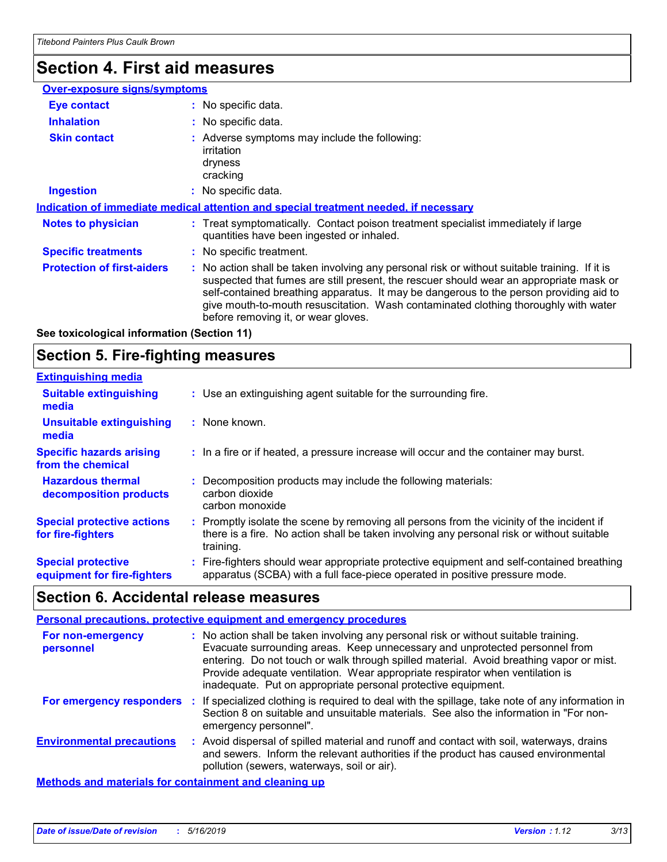# **Section 4. First aid measures**

| <b>Over-exposure signs/symptoms</b> |                                                                                                                                                                                                                                                                                                                                                                                                                 |
|-------------------------------------|-----------------------------------------------------------------------------------------------------------------------------------------------------------------------------------------------------------------------------------------------------------------------------------------------------------------------------------------------------------------------------------------------------------------|
| <b>Eye contact</b>                  | : No specific data.                                                                                                                                                                                                                                                                                                                                                                                             |
| <b>Inhalation</b>                   | : No specific data.                                                                                                                                                                                                                                                                                                                                                                                             |
| <b>Skin contact</b>                 | : Adverse symptoms may include the following:<br>irritation<br>dryness<br>cracking                                                                                                                                                                                                                                                                                                                              |
| <b>Ingestion</b>                    | : No specific data.                                                                                                                                                                                                                                                                                                                                                                                             |
|                                     | Indication of immediate medical attention and special treatment needed, if necessary                                                                                                                                                                                                                                                                                                                            |
| <b>Notes to physician</b>           | : Treat symptomatically. Contact poison treatment specialist immediately if large<br>quantities have been ingested or inhaled.                                                                                                                                                                                                                                                                                  |
| <b>Specific treatments</b>          | : No specific treatment.                                                                                                                                                                                                                                                                                                                                                                                        |
| <b>Protection of first-aiders</b>   | : No action shall be taken involving any personal risk or without suitable training. If it is<br>suspected that fumes are still present, the rescuer should wear an appropriate mask or<br>self-contained breathing apparatus. It may be dangerous to the person providing aid to<br>give mouth-to-mouth resuscitation. Wash contaminated clothing thoroughly with water<br>before removing it, or wear gloves. |

**See toxicological information (Section 11)**

### **Section 5. Fire-fighting measures**

| <b>Extinguishing media</b>                               |                                                                                                                                                                                                     |
|----------------------------------------------------------|-----------------------------------------------------------------------------------------------------------------------------------------------------------------------------------------------------|
| <b>Suitable extinguishing</b><br>media                   | : Use an extinguishing agent suitable for the surrounding fire.                                                                                                                                     |
| Unsuitable extinguishing<br>media                        | : None known.                                                                                                                                                                                       |
| <b>Specific hazards arising</b><br>from the chemical     | : In a fire or if heated, a pressure increase will occur and the container may burst.                                                                                                               |
| <b>Hazardous thermal</b><br>decomposition products       | Decomposition products may include the following materials:<br>carbon dioxide<br>carbon monoxide                                                                                                    |
| <b>Special protective actions</b><br>for fire-fighters   | : Promptly isolate the scene by removing all persons from the vicinity of the incident if<br>there is a fire. No action shall be taken involving any personal risk or without suitable<br>training. |
| <b>Special protective</b><br>equipment for fire-fighters | : Fire-fighters should wear appropriate protective equipment and self-contained breathing<br>apparatus (SCBA) with a full face-piece operated in positive pressure mode.                            |

### **Section 6. Accidental release measures**

#### **Personal precautions, protective equipment and emergency procedures**

| For non-emergency<br>personnel   | : No action shall be taken involving any personal risk or without suitable training.<br>Evacuate surrounding areas. Keep unnecessary and unprotected personnel from<br>entering. Do not touch or walk through spilled material. Avoid breathing vapor or mist.<br>Provide adequate ventilation. Wear appropriate respirator when ventilation is<br>inadequate. Put on appropriate personal protective equipment. |
|----------------------------------|------------------------------------------------------------------------------------------------------------------------------------------------------------------------------------------------------------------------------------------------------------------------------------------------------------------------------------------------------------------------------------------------------------------|
| For emergency responders         | : If specialized clothing is required to deal with the spillage, take note of any information in<br>Section 8 on suitable and unsuitable materials. See also the information in "For non-<br>emergency personnel".                                                                                                                                                                                               |
| <b>Environmental precautions</b> | : Avoid dispersal of spilled material and runoff and contact with soil, waterways, drains<br>and sewers. Inform the relevant authorities if the product has caused environmental<br>pollution (sewers, waterways, soil or air).                                                                                                                                                                                  |
|                                  |                                                                                                                                                                                                                                                                                                                                                                                                                  |

**Methods and materials for containment and cleaning up**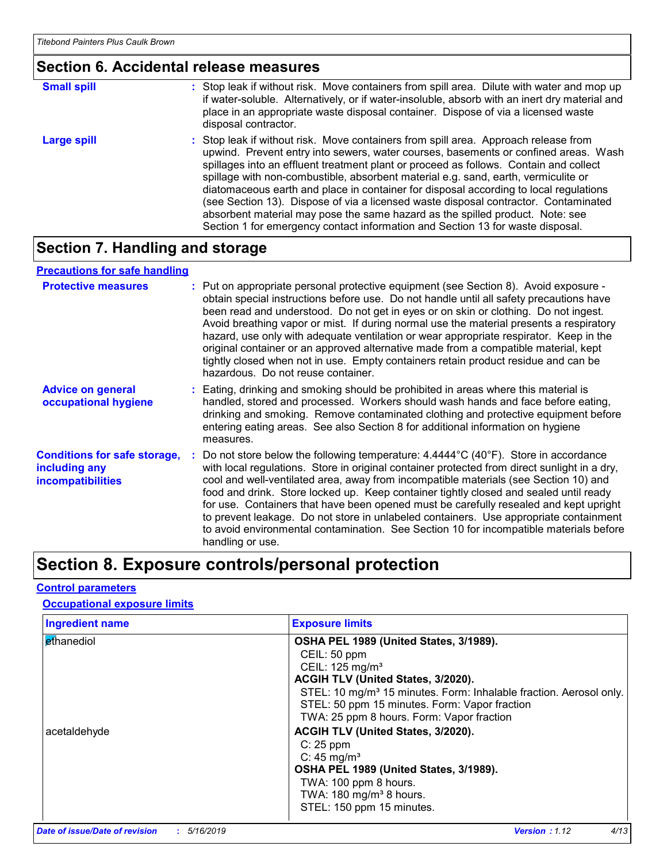#### **Section 6. Accidental release measures**

| <b>Small spill</b> | : Stop leak if without risk. Move containers from spill area. Dilute with water and mop up<br>if water-soluble. Alternatively, or if water-insoluble, absorb with an inert dry material and<br>place in an appropriate waste disposal container. Dispose of via a licensed waste<br>disposal contractor.                                                                                                                                                                                                                                                                                                                                                                                                     |
|--------------------|--------------------------------------------------------------------------------------------------------------------------------------------------------------------------------------------------------------------------------------------------------------------------------------------------------------------------------------------------------------------------------------------------------------------------------------------------------------------------------------------------------------------------------------------------------------------------------------------------------------------------------------------------------------------------------------------------------------|
| Large spill        | : Stop leak if without risk. Move containers from spill area. Approach release from<br>upwind. Prevent entry into sewers, water courses, basements or confined areas. Wash<br>spillages into an effluent treatment plant or proceed as follows. Contain and collect<br>spillage with non-combustible, absorbent material e.g. sand, earth, vermiculite or<br>diatomaceous earth and place in container for disposal according to local regulations<br>(see Section 13). Dispose of via a licensed waste disposal contractor. Contaminated<br>absorbent material may pose the same hazard as the spilled product. Note: see<br>Section 1 for emergency contact information and Section 13 for waste disposal. |

### **Section 7. Handling and storage**

#### **Advice on general occupational hygiene Conditions for safe storage, including any incompatibilities** Eating, drinking and smoking should be prohibited in areas where this material is **:** handled, stored and processed. Workers should wash hands and face before eating, drinking and smoking. Remove contaminated clothing and protective equipment before entering eating areas. See also Section 8 for additional information on hygiene measures. Do not store below the following temperature: 4.4444°C (40°F). Store in accordance **:** with local regulations. Store in original container protected from direct sunlight in a dry, cool and well-ventilated area, away from incompatible materials (see Section 10) and food and drink. Store locked up. Keep container tightly closed and sealed until ready for use. Containers that have been opened must be carefully resealed and kept upright to prevent leakage. Do not store in unlabeled containers. Use appropriate containment to avoid environmental contamination. See Section 10 for incompatible materials before handling or use. **Protective measures** : Put on appropriate personal protective equipment (see Section 8). Avoid exposure obtain special instructions before use. Do not handle until all safety precautions have been read and understood. Do not get in eyes or on skin or clothing. Do not ingest. Avoid breathing vapor or mist. If during normal use the material presents a respiratory hazard, use only with adequate ventilation or wear appropriate respirator. Keep in the original container or an approved alternative made from a compatible material, kept tightly closed when not in use. Empty containers retain product residue and can be hazardous. Do not reuse container. **Precautions for safe handling**

### **Section 8. Exposure controls/personal protection**

#### **Control parameters**

#### **Occupational exposure limits**

| <b>Ingredient name</b> | <b>Exposure limits</b>                                                         |
|------------------------|--------------------------------------------------------------------------------|
| Ethanediol             | OSHA PEL 1989 (United States, 3/1989).                                         |
|                        | CEIL: 50 ppm                                                                   |
|                        | CEIL: 125 mg/m <sup>3</sup>                                                    |
|                        | ACGIH TLV (United States, 3/2020).                                             |
|                        | STEL: 10 mg/m <sup>3</sup> 15 minutes. Form: Inhalable fraction. Aerosol only. |
|                        | STEL: 50 ppm 15 minutes. Form: Vapor fraction                                  |
|                        | TWA: 25 ppm 8 hours. Form: Vapor fraction                                      |
| acetaldehyde           | ACGIH TLV (United States, 3/2020).                                             |
|                        | $C: 25$ ppm                                                                    |
|                        | C: $45 \text{ mg/m}^3$                                                         |
|                        | OSHA PEL 1989 (United States, 3/1989).                                         |
|                        | TWA: 100 ppm 8 hours.                                                          |
|                        | TWA: $180 \text{ mg/m}^3$ 8 hours.                                             |
|                        | STEL: 150 ppm 15 minutes.                                                      |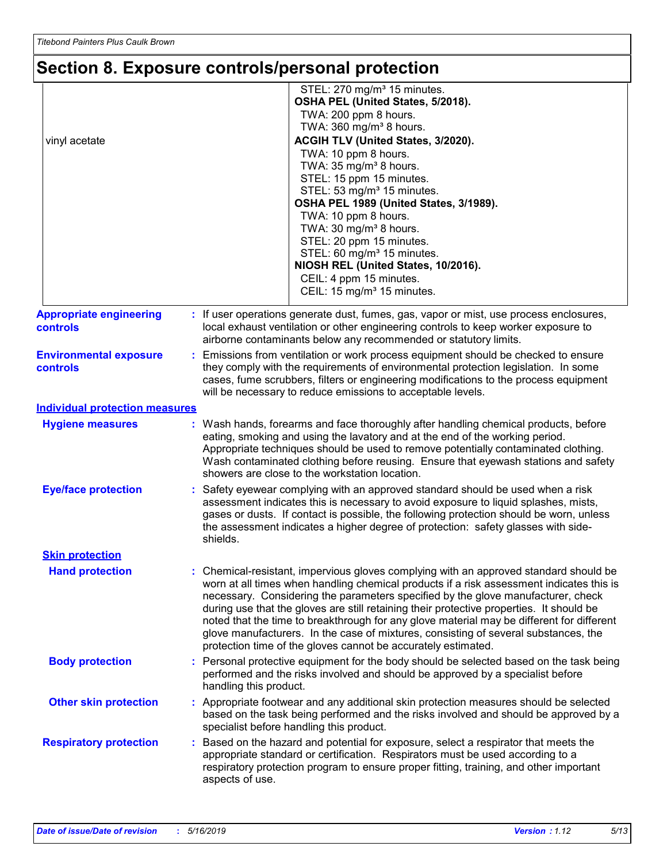# **Section 8. Exposure controls/personal protection**

| vinyl acetate                                     | STEL: 270 mg/m <sup>3</sup> 15 minutes.<br>OSHA PEL (United States, 5/2018).<br>TWA: 200 ppm 8 hours.<br>TWA: 360 mg/m <sup>3</sup> 8 hours.<br>ACGIH TLV (United States, 3/2020).<br>TWA: 10 ppm 8 hours.<br>TWA: 35 mg/m <sup>3</sup> 8 hours.<br>STEL: 15 ppm 15 minutes.<br>STEL: 53 mg/m <sup>3</sup> 15 minutes.<br>OSHA PEL 1989 (United States, 3/1989).<br>TWA: 10 ppm 8 hours.<br>TWA: 30 mg/m <sup>3</sup> 8 hours.<br>STEL: 20 ppm 15 minutes.<br>STEL: 60 mg/m <sup>3</sup> 15 minutes.<br>NIOSH REL (United States, 10/2016).<br>CEIL: 4 ppm 15 minutes.<br>CEIL: 15 mg/m <sup>3</sup> 15 minutes.     |  |
|---------------------------------------------------|----------------------------------------------------------------------------------------------------------------------------------------------------------------------------------------------------------------------------------------------------------------------------------------------------------------------------------------------------------------------------------------------------------------------------------------------------------------------------------------------------------------------------------------------------------------------------------------------------------------------|--|
| <b>Appropriate engineering</b><br><b>controls</b> | : If user operations generate dust, fumes, gas, vapor or mist, use process enclosures,<br>local exhaust ventilation or other engineering controls to keep worker exposure to<br>airborne contaminants below any recommended or statutory limits.                                                                                                                                                                                                                                                                                                                                                                     |  |
| <b>Environmental exposure</b><br>controls         | : Emissions from ventilation or work process equipment should be checked to ensure<br>they comply with the requirements of environmental protection legislation. In some<br>cases, fume scrubbers, filters or engineering modifications to the process equipment<br>will be necessary to reduce emissions to acceptable levels.                                                                                                                                                                                                                                                                                      |  |
| <b>Individual protection measures</b>             |                                                                                                                                                                                                                                                                                                                                                                                                                                                                                                                                                                                                                      |  |
| <b>Hygiene measures</b>                           | : Wash hands, forearms and face thoroughly after handling chemical products, before<br>eating, smoking and using the lavatory and at the end of the working period.<br>Appropriate techniques should be used to remove potentially contaminated clothing.<br>Wash contaminated clothing before reusing. Ensure that eyewash stations and safety<br>showers are close to the workstation location.                                                                                                                                                                                                                    |  |
| <b>Eye/face protection</b>                        | Safety eyewear complying with an approved standard should be used when a risk<br>assessment indicates this is necessary to avoid exposure to liquid splashes, mists,<br>gases or dusts. If contact is possible, the following protection should be worn, unless<br>the assessment indicates a higher degree of protection: safety glasses with side-<br>shields.                                                                                                                                                                                                                                                     |  |
| <b>Skin protection</b>                            |                                                                                                                                                                                                                                                                                                                                                                                                                                                                                                                                                                                                                      |  |
| <b>Hand protection</b>                            | Chemical-resistant, impervious gloves complying with an approved standard should be<br>worn at all times when handling chemical products if a risk assessment indicates this is<br>necessary. Considering the parameters specified by the glove manufacturer, check<br>during use that the gloves are still retaining their protective properties. It should be<br>noted that the time to breakthrough for any glove material may be different for different<br>glove manufacturers. In the case of mixtures, consisting of several substances, the<br>protection time of the gloves cannot be accurately estimated. |  |
| <b>Body protection</b>                            | : Personal protective equipment for the body should be selected based on the task being<br>performed and the risks involved and should be approved by a specialist before<br>handling this product.                                                                                                                                                                                                                                                                                                                                                                                                                  |  |
| <b>Other skin protection</b>                      | : Appropriate footwear and any additional skin protection measures should be selected<br>based on the task being performed and the risks involved and should be approved by a<br>specialist before handling this product.                                                                                                                                                                                                                                                                                                                                                                                            |  |
| <b>Respiratory protection</b>                     | Based on the hazard and potential for exposure, select a respirator that meets the<br>÷.<br>appropriate standard or certification. Respirators must be used according to a<br>respiratory protection program to ensure proper fitting, training, and other important<br>aspects of use.                                                                                                                                                                                                                                                                                                                              |  |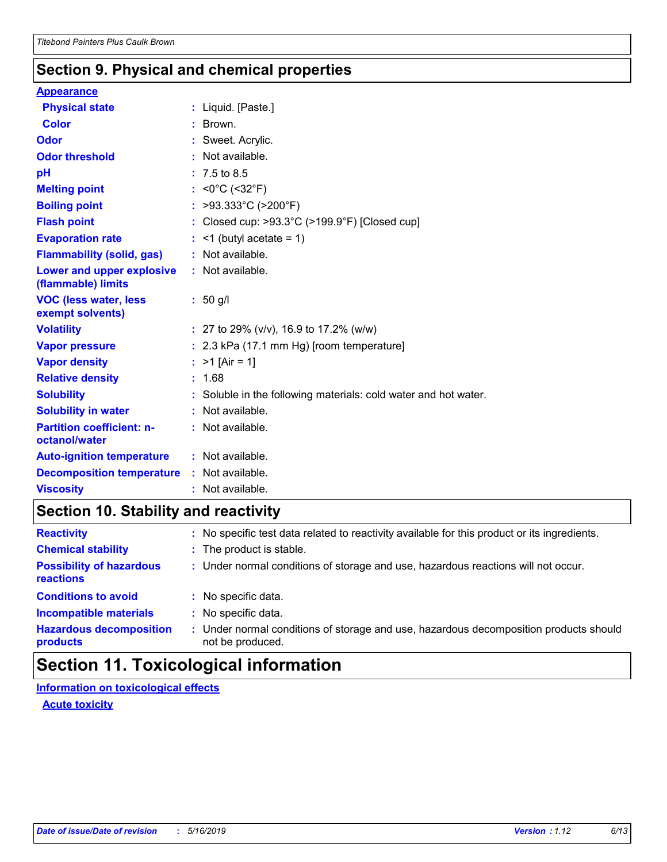### **Section 9. Physical and chemical properties**

#### **Appearance**

| <b>Physical state</b>                             | : Liquid. [Paste.]                                                 |
|---------------------------------------------------|--------------------------------------------------------------------|
| <b>Color</b>                                      | : Brown.                                                           |
| <b>Odor</b>                                       | : Sweet. Acrylic.                                                  |
| <b>Odor threshold</b>                             | : Not available.                                                   |
| pH                                                | $: 7.5 \text{ to } 8.5$                                            |
| <b>Melting point</b>                              | : $<0^{\circ}$ C (<32 $^{\circ}$ F)                                |
| <b>Boiling point</b>                              | : >93.333°C (>200°F)                                               |
| <b>Flash point</b>                                | : Closed cup: $>93.3^{\circ}$ C ( $>199.9^{\circ}$ F) [Closed cup] |
| <b>Evaporation rate</b>                           | $:$ <1 (butyl acetate = 1)                                         |
| <b>Flammability (solid, gas)</b>                  | : Not available.                                                   |
| Lower and upper explosive<br>(flammable) limits   | : Not available.                                                   |
| <b>VOC (less water, less)</b><br>exempt solvents) | $: 50$ g/l                                                         |
| <b>Volatility</b>                                 | : 27 to 29% ( $v/v$ ), 16.9 to 17.2% ( $w/w$ )                     |
| <b>Vapor pressure</b>                             | : 2.3 kPa (17.1 mm Hg) [room temperature]                          |
| <b>Vapor density</b>                              | : $>1$ [Air = 1]                                                   |
| <b>Relative density</b>                           | : 1.68                                                             |
| <b>Solubility</b>                                 | : Soluble in the following materials: cold water and hot water.    |
| <b>Solubility in water</b>                        | : Not available.                                                   |
| <b>Partition coefficient: n-</b><br>octanol/water | : Not available.                                                   |
| <b>Auto-ignition temperature</b>                  | : Not available.                                                   |
| <b>Decomposition temperature</b>                  | : Not available.                                                   |
| <b>Viscosity</b>                                  | : Not available.                                                   |

### **Section 10. Stability and reactivity**

| <b>Reactivity</b>                            |    | : No specific test data related to reactivity available for this product or its ingredients.              |
|----------------------------------------------|----|-----------------------------------------------------------------------------------------------------------|
| <b>Chemical stability</b>                    |    | : The product is stable.                                                                                  |
| <b>Possibility of hazardous</b><br>reactions |    | : Under normal conditions of storage and use, hazardous reactions will not occur.                         |
| <b>Conditions to avoid</b>                   |    | : No specific data.                                                                                       |
| <b>Incompatible materials</b>                | ÷. | No specific data.                                                                                         |
| <b>Hazardous decomposition</b><br>products   |    | : Under normal conditions of storage and use, hazardous decomposition products should<br>not be produced. |

# **Section 11. Toxicological information**

**Information on toxicological effects**

**Acute toxicity**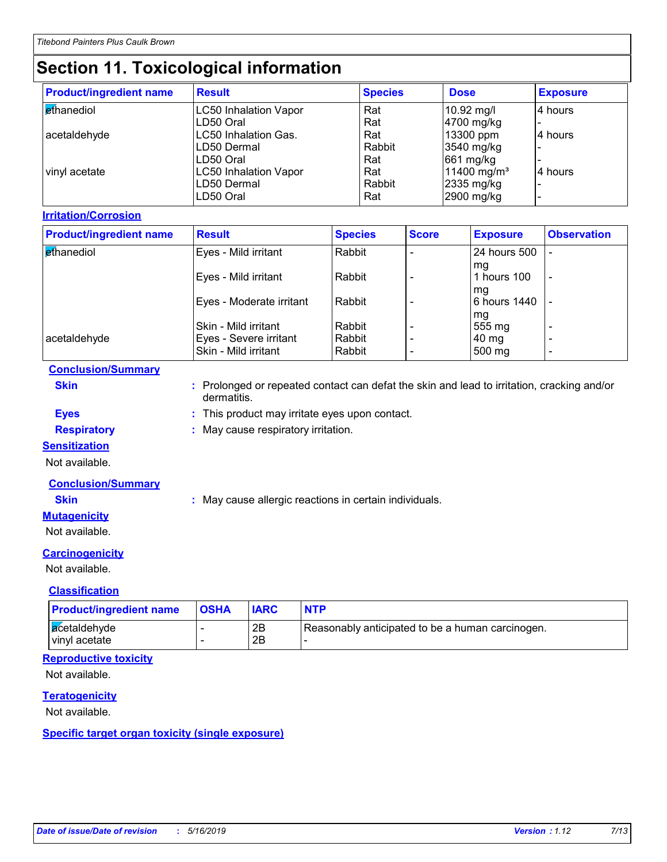# **Section 11. Toxicological information**

| <b>Product/ingredient name</b> | <b>Result</b>                | <b>Species</b> | <b>Dose</b>             | <b>Exposure</b> |
|--------------------------------|------------------------------|----------------|-------------------------|-----------------|
| <b>ethanediol</b>              | <b>LC50 Inhalation Vapor</b> | Rat            | 10.92 mg/l              | 4 hours         |
|                                | LD50 Oral                    | Rat            | 4700 mg/kg              |                 |
| acetaldehyde                   | LC50 Inhalation Gas.         | Rat            | 13300 ppm               | 14 hours        |
|                                | LD50 Dermal                  | Rabbit         | 3540 mg/kg              |                 |
|                                | LD50 Oral                    | Rat            | 661 mg/kg               |                 |
| vinyl acetate                  | <b>LC50 Inhalation Vapor</b> | Rat            | 11400 mg/m <sup>3</sup> | l4 hours        |
|                                | LD50 Dermal                  | Rabbit         | 2335 mg/kg              |                 |
|                                | LD50 Oral                    | Rat            | 2900 mg/kg              |                 |

#### **Irritation/Corrosion**

| <b>Product/ingredient name</b> | <b>Result</b>            | <b>Species</b> | <b>Score</b> | <b>Exposure</b>    | <b>Observation</b>       |
|--------------------------------|--------------------------|----------------|--------------|--------------------|--------------------------|
| ethanediol                     | Eyes - Mild irritant     | Rabbit         |              | 24 hours 500       |                          |
|                                | Eyes - Mild irritant     | Rabbit         |              | mq<br>hours 100    | $\overline{\phantom{a}}$ |
|                                | Eyes - Moderate irritant | Rabbit         |              | mq<br>6 hours 1440 |                          |
|                                | Skin - Mild irritant     | Rabbit         |              | mg<br>555 mg       |                          |
| acetaldehyde                   | Eyes - Severe irritant   | Rabbit         |              | 40 mg              | $\overline{\phantom{0}}$ |
|                                | Skin - Mild irritant     | Rabbit         |              | 500 mg             | $\overline{\phantom{0}}$ |

#### **Conclusion/Summary**

**Skin :** Prolonged or repeated contact can defat the skin and lead to irritation, cracking and/or dermatitis.

**Eyes :** This product may irritate eyes upon contact.

**Respiratory :** May cause respiratory irritation.

#### **Sensitization**

Not available.

#### **Conclusion/Summary**

**Skin :** May cause allergic reactions in certain individuals.

#### **Mutagenicity**

Not available.

#### **Carcinogenicity**

Not available.

#### **Classification**

| <b>Product/ingredient name</b>  | <b>OSHA</b> | <b>IARC</b> | <b>NTP</b>                                       |
|---------------------------------|-------------|-------------|--------------------------------------------------|
| acetaldehyde<br>I vinvl acetate |             | 2B<br>2B    | Reasonably anticipated to be a human carcinogen. |

#### **Reproductive toxicity**

Not available.

#### **Teratogenicity**

Not available.

#### **Specific target organ toxicity (single exposure)**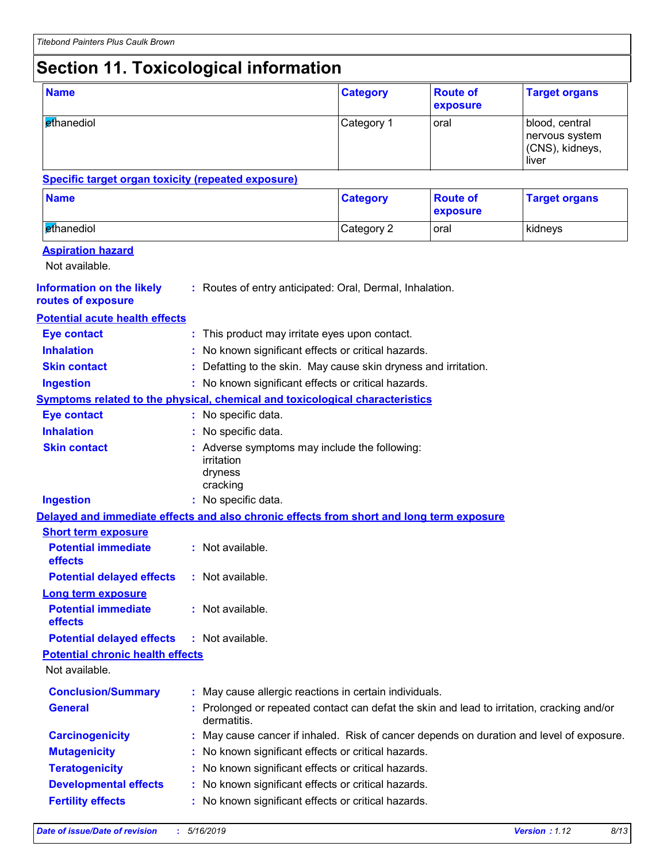# **Section 11. Toxicological information**

| <b>Name</b>                                                                              |  |                                                                                                           | <b>Category</b> | <b>Route of</b><br>exposure | <b>Target organs</b>                                         |  |  |
|------------------------------------------------------------------------------------------|--|-----------------------------------------------------------------------------------------------------------|-----------------|-----------------------------|--------------------------------------------------------------|--|--|
| ethanediol                                                                               |  |                                                                                                           | Category 1      | oral                        | blood, central<br>nervous system<br>(CNS), kidneys,<br>liver |  |  |
| <b>Specific target organ toxicity (repeated exposure)</b>                                |  |                                                                                                           |                 |                             |                                                              |  |  |
| <b>Name</b>                                                                              |  |                                                                                                           | <b>Category</b> | <b>Route of</b><br>exposure | <b>Target organs</b>                                         |  |  |
| ethanediol                                                                               |  |                                                                                                           | Category 2      | oral                        | kidneys                                                      |  |  |
| <b>Aspiration hazard</b><br>Not available.                                               |  |                                                                                                           |                 |                             |                                                              |  |  |
| <b>Information on the likely</b><br>routes of exposure                                   |  | : Routes of entry anticipated: Oral, Dermal, Inhalation.                                                  |                 |                             |                                                              |  |  |
| <b>Potential acute health effects</b>                                                    |  |                                                                                                           |                 |                             |                                                              |  |  |
| <b>Eye contact</b>                                                                       |  | This product may irritate eyes upon contact.                                                              |                 |                             |                                                              |  |  |
| <b>Inhalation</b>                                                                        |  | No known significant effects or critical hazards.                                                         |                 |                             |                                                              |  |  |
| <b>Skin contact</b>                                                                      |  | Defatting to the skin. May cause skin dryness and irritation.                                             |                 |                             |                                                              |  |  |
| <b>Ingestion</b>                                                                         |  | : No known significant effects or critical hazards.                                                       |                 |                             |                                                              |  |  |
| <b>Symptoms related to the physical, chemical and toxicological characteristics</b>      |  |                                                                                                           |                 |                             |                                                              |  |  |
| <b>Eye contact</b>                                                                       |  | : No specific data.                                                                                       |                 |                             |                                                              |  |  |
| <b>Inhalation</b>                                                                        |  | : No specific data.                                                                                       |                 |                             |                                                              |  |  |
| <b>Skin contact</b>                                                                      |  | : Adverse symptoms may include the following:<br>irritation<br>dryness<br>cracking                        |                 |                             |                                                              |  |  |
| <b>Ingestion</b>                                                                         |  | : No specific data.                                                                                       |                 |                             |                                                              |  |  |
| Delayed and immediate effects and also chronic effects from short and long term exposure |  |                                                                                                           |                 |                             |                                                              |  |  |
| <b>Short term exposure</b>                                                               |  |                                                                                                           |                 |                             |                                                              |  |  |
| <b>Potential immediate</b><br>effects                                                    |  | : Not available.                                                                                          |                 |                             |                                                              |  |  |
| <b>Potential delayed effects</b>                                                         |  | : Not available.                                                                                          |                 |                             |                                                              |  |  |
| <b>Long term exposure</b><br><b>Potential immediate</b><br>effects                       |  | : Not available.                                                                                          |                 |                             |                                                              |  |  |
| <b>Potential delayed effects</b>                                                         |  | : Not available.                                                                                          |                 |                             |                                                              |  |  |
| <b>Potential chronic health effects</b>                                                  |  |                                                                                                           |                 |                             |                                                              |  |  |
| Not available.                                                                           |  |                                                                                                           |                 |                             |                                                              |  |  |
| <b>Conclusion/Summary</b>                                                                |  | : May cause allergic reactions in certain individuals.                                                    |                 |                             |                                                              |  |  |
| <b>General</b>                                                                           |  | : Prolonged or repeated contact can defat the skin and lead to irritation, cracking and/or<br>dermatitis. |                 |                             |                                                              |  |  |
| <b>Carcinogenicity</b>                                                                   |  | May cause cancer if inhaled. Risk of cancer depends on duration and level of exposure.                    |                 |                             |                                                              |  |  |
| <b>Mutagenicity</b>                                                                      |  | No known significant effects or critical hazards.                                                         |                 |                             |                                                              |  |  |
| <b>Teratogenicity</b>                                                                    |  | No known significant effects or critical hazards.                                                         |                 |                             |                                                              |  |  |
| <b>Developmental effects</b>                                                             |  | No known significant effects or critical hazards.                                                         |                 |                             |                                                              |  |  |
| <b>Fertility effects</b>                                                                 |  | No known significant effects or critical hazards.                                                         |                 |                             |                                                              |  |  |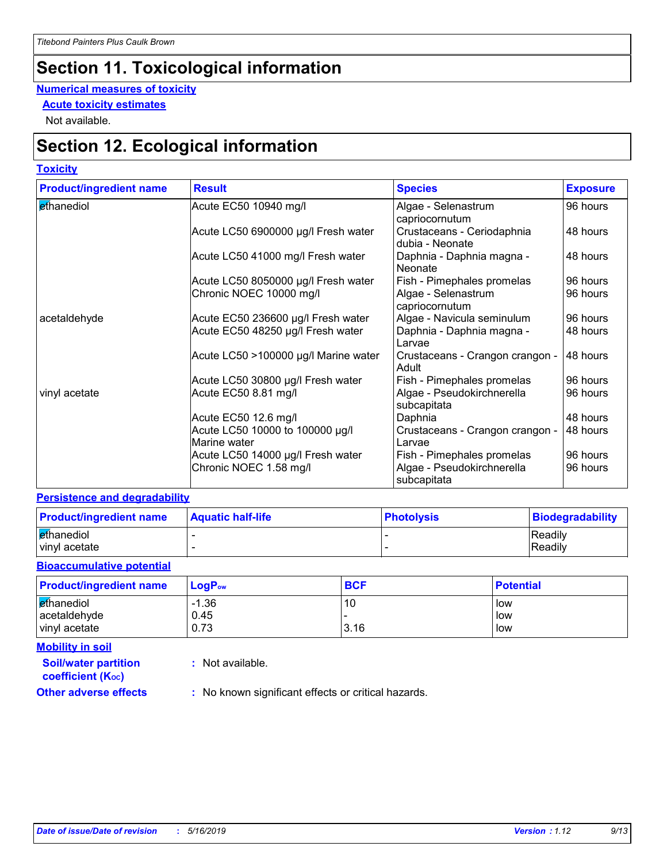# **Section 11. Toxicological information**

#### **Numerical measures of toxicity**

**Acute toxicity estimates**

Not available.

# **Section 12. Ecological information**

#### **Toxicity**

| <b>Product/ingredient name</b> | <b>Result</b>                                   | <b>Species</b>                                | <b>Exposure</b> |
|--------------------------------|-------------------------------------------------|-----------------------------------------------|-----------------|
| ethanediol                     | Acute EC50 10940 mg/l                           | Algae - Selenastrum<br>capriocornutum         | 96 hours        |
|                                | Acute LC50 6900000 µg/l Fresh water             | Crustaceans - Ceriodaphnia<br>dubia - Neonate | 48 hours        |
|                                | Acute LC50 41000 mg/l Fresh water               | Daphnia - Daphnia magna -<br>Neonate          | 48 hours        |
|                                | Acute LC50 8050000 µg/l Fresh water             | Fish - Pimephales promelas                    | 96 hours        |
|                                | Chronic NOEC 10000 mg/l                         | Algae - Selenastrum<br>capriocornutum         | 96 hours        |
| acetaldehyde                   | Acute EC50 236600 µg/l Fresh water              | Algae - Navicula seminulum                    | 96 hours        |
|                                | Acute EC50 48250 µg/l Fresh water               | Daphnia - Daphnia magna -<br>Larvae           | 48 hours        |
|                                | Acute LC50 >100000 µg/l Marine water            | Crustaceans - Crangon crangon -<br>Adult      | 48 hours        |
|                                | Acute LC50 30800 µg/l Fresh water               | Fish - Pimephales promelas                    | 96 hours        |
| vinyl acetate                  | Acute EC50 8.81 mg/l                            | Algae - Pseudokirchnerella<br>subcapitata     | 96 hours        |
|                                | Acute EC50 12.6 mg/l                            | Daphnia                                       | 48 hours        |
|                                | Acute LC50 10000 to 100000 µg/l<br>Marine water | Crustaceans - Crangon crangon -<br>Larvae     | 48 hours        |
|                                | Acute LC50 14000 µg/l Fresh water               | Fish - Pimephales promelas                    | 96 hours        |
|                                | Chronic NOEC 1.58 mg/l                          | Algae - Pseudokirchnerella<br>subcapitata     | 96 hours        |

#### **Persistence and degradability**

| <b>Product/ingredient name</b> | <b>Aquatic half-life</b> | <b>Photolysis</b> | Biodegradability |
|--------------------------------|--------------------------|-------------------|------------------|
| ethanediol                     |                          |                   | <b>Readily</b>   |
| vinyl acetate                  |                          |                   | Readily          |

#### **Bioaccumulative potential**

| <b>Product/ingredient name</b> | $\mathsf{LogP}_\mathsf{ow}$ | <b>BCF</b> | <b>Potential</b> |
|--------------------------------|-----------------------------|------------|------------------|
| ethanediol<br>acetaldehyde     | $-1.36$<br>0.45             | 10         | low<br>low       |
| vinyl acetate                  | 0.73                        | 3.16       | low              |

**Mobility in soil**

**:** Not available.

**coefficient (KOC)**

**Soil/water partition** 

**Other adverse effects** : No known significant effects or critical hazards.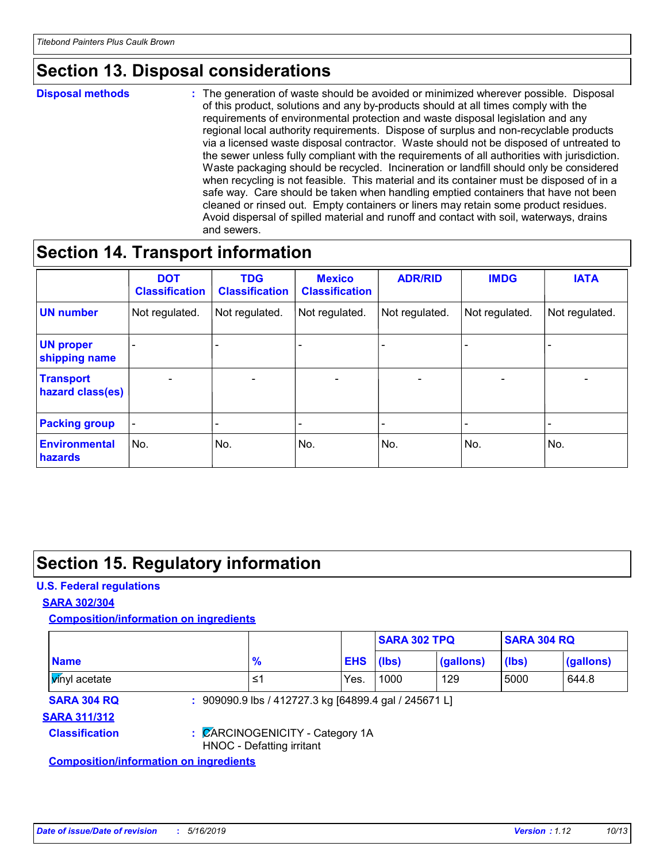# **Section 13. Disposal considerations**

#### **Disposal methods :**

The generation of waste should be avoided or minimized wherever possible. Disposal of this product, solutions and any by-products should at all times comply with the requirements of environmental protection and waste disposal legislation and any regional local authority requirements. Dispose of surplus and non-recyclable products via a licensed waste disposal contractor. Waste should not be disposed of untreated to the sewer unless fully compliant with the requirements of all authorities with jurisdiction. Waste packaging should be recycled. Incineration or landfill should only be considered when recycling is not feasible. This material and its container must be disposed of in a safe way. Care should be taken when handling emptied containers that have not been cleaned or rinsed out. Empty containers or liners may retain some product residues. Avoid dispersal of spilled material and runoff and contact with soil, waterways, drains and sewers.

### **Section 14. Transport information**

|                                      | <b>DOT</b><br><b>Classification</b> | <b>TDG</b><br><b>Classification</b> | <b>Mexico</b><br><b>Classification</b> | <b>ADR/RID</b>               | <b>IMDG</b>              | <b>IATA</b>              |
|--------------------------------------|-------------------------------------|-------------------------------------|----------------------------------------|------------------------------|--------------------------|--------------------------|
| <b>UN number</b>                     | Not regulated.                      | Not regulated.                      | Not regulated.                         | Not regulated.               | Not regulated.           | Not regulated.           |
| <b>UN proper</b><br>shipping name    | $\qquad \qquad \blacksquare$        |                                     |                                        |                              |                          |                          |
| <b>Transport</b><br>hazard class(es) | $\overline{\phantom{0}}$            | $\qquad \qquad$                     | $\qquad \qquad$                        | $\qquad \qquad \blacksquare$ | $\overline{\phantom{0}}$ | $\overline{\phantom{0}}$ |
| <b>Packing group</b>                 | $\qquad \qquad \blacksquare$        |                                     |                                        |                              |                          |                          |
| <b>Environmental</b><br>hazards      | No.                                 | No.                                 | No.                                    | No.                          | No.                      | No.                      |

### **Section 15. Regulatory information**

#### **U.S. Federal regulations**

#### **SARA 302/304**

**Composition/information on ingredients**

|                                               |                                                              |            | <b>SARA 302 TPQ</b> |           | <b>SARA 304 RQ</b> |           |
|-----------------------------------------------|--------------------------------------------------------------|------------|---------------------|-----------|--------------------|-----------|
| <b>Name</b>                                   | $\frac{9}{6}$                                                | <b>EHS</b> | (Ibs)               | (gallons) | (lbs)              | (gallons) |
| <b>M</b> nyl acetate                          | ≤1                                                           | Yes.       | 1000                | 129       | 5000               | 644.8     |
| <b>SARA 304 RQ</b>                            | : 909090.9 lbs / 412727.3 kg [64899.4 gal / 245671 L]        |            |                     |           |                    |           |
| <b>SARA 311/312</b>                           |                                                              |            |                     |           |                    |           |
| <b>Classification</b>                         | : CARCINOGENICITY - Category 1A<br>HNOC - Defatting irritant |            |                     |           |                    |           |
| <b>Composition/information on ingredients</b> |                                                              |            |                     |           |                    |           |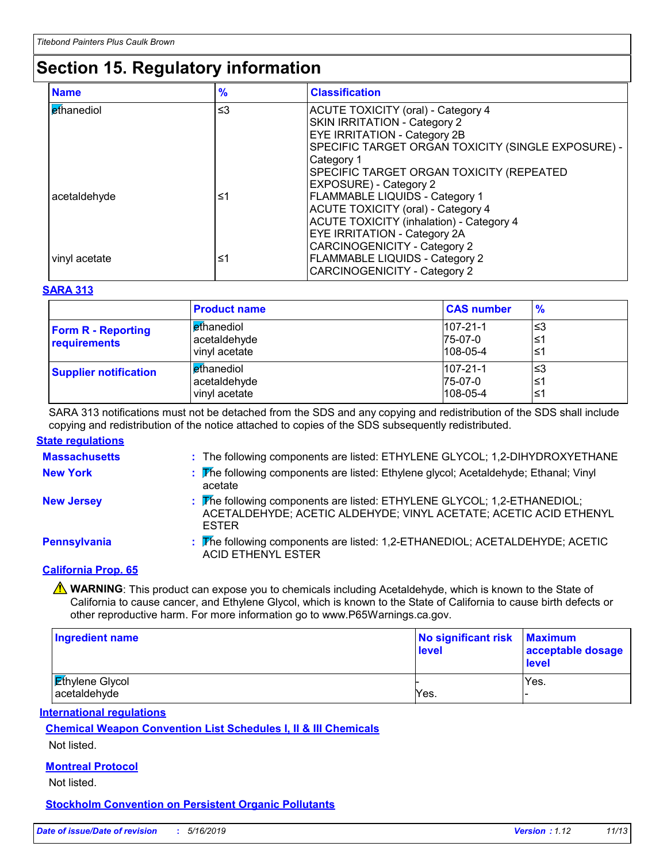# **Section 15. Regulatory information**

| <b>Name</b>       | $\frac{9}{6}$ | <b>Classification</b>                              |
|-------------------|---------------|----------------------------------------------------|
| <b>ethanediol</b> | $\leq$ 3      | <b>ACUTE TOXICITY (oral) - Category 4</b>          |
|                   |               | SKIN IRRITATION - Category 2                       |
|                   |               | <b>EYE IRRITATION - Category 2B</b>                |
|                   |               | SPECIFIC TARGET ORGAN TOXICITY (SINGLE EXPOSURE) - |
|                   |               | Category 1                                         |
|                   |               | SPECIFIC TARGET ORGAN TOXICITY (REPEATED           |
|                   |               | <b>EXPOSURE) - Category 2</b>                      |
| acetaldehyde      | ≤1            | <b>FLAMMABLE LIQUIDS - Category 1</b>              |
|                   |               | <b>ACUTE TOXICITY (oral) - Category 4</b>          |
|                   |               | <b>ACUTE TOXICITY (inhalation) - Category 4</b>    |
|                   |               | <b>EYE IRRITATION - Category 2A</b>                |
|                   |               | <b>CARCINOGENICITY - Category 2</b>                |
| vinyl acetate     | ≤1            | <b>FLAMMABLE LIQUIDS - Category 2</b>              |
|                   |               | <b>CARCINOGENICITY - Category 2</b>                |

#### **SARA 313**

|                                           | <b>Product name</b>                                         | <b>CAS number</b>                           | $\frac{9}{6}$    |
|-------------------------------------------|-------------------------------------------------------------|---------------------------------------------|------------------|
| <b>Form R - Reporting</b><br>requirements | l <mark>e</mark> thanediol<br>acetaldehyde<br>vinyl acetate | $107 - 21 - 1$<br>75-07-0<br>$108 - 05 - 4$ | '≤3<br>≤1<br>≤1  |
| <b>Supplier notification</b>              | ethanediol<br>acetaldehyde<br>vinyl acetate                 | $107 - 21 - 1$<br>75-07-0<br>$108 - 05 - 4$ | צ≥ا<br>≤1<br>∣≤1 |

SARA 313 notifications must not be detached from the SDS and any copying and redistribution of the SDS shall include copying and redistribution of the notice attached to copies of the SDS subsequently redistributed.

#### **State regulations**

| <b>Massachusetts</b> | : The following components are listed: ETHYLENE GLYCOL; 1,2-DIHYDROXYETHANE                                                                                  |
|----------------------|--------------------------------------------------------------------------------------------------------------------------------------------------------------|
| <b>New York</b>      | : The following components are listed: Ethylene glycol; Acetaldehyde; Ethanal; Vinyl<br>acetate                                                              |
| <b>New Jersey</b>    | : The following components are listed: ETHYLENE GLYCOL; 1,2-ETHANEDIOL;<br>ACETALDEHYDE; ACETIC ALDEHYDE; VINYL ACETATE; ACETIC ACID ETHENYL<br><b>ESTER</b> |
| Pennsylvania         | : The following components are listed: 1,2-ETHANEDIOL; ACETALDEHYDE; ACETIC<br><b>ACID ETHENYL ESTER</b>                                                     |
| $\sim$ $\sim$ $\sim$ |                                                                                                                                                              |

#### **California Prop. 65**

**A** WARNING: This product can expose you to chemicals including Acetaldehyde, which is known to the State of California to cause cancer, and Ethylene Glycol, which is known to the State of California to cause birth defects or other reproductive harm. For more information go to www.P65Warnings.ca.gov.

| <b>Ingredient name</b>                 | No significant risk<br>level | <b>Maximum</b><br>acceptable dosage<br><b>level</b> |
|----------------------------------------|------------------------------|-----------------------------------------------------|
| <b>Ethylene Glycol</b><br>acetaldehyde | Yes.                         | Yes.                                                |
|                                        |                              |                                                     |

**International regulations**

**Chemical Weapon Convention List Schedules I, II & III Chemicals**

Not listed.

#### **Montreal Protocol**

Not listed.

**Stockholm Convention on Persistent Organic Pollutants**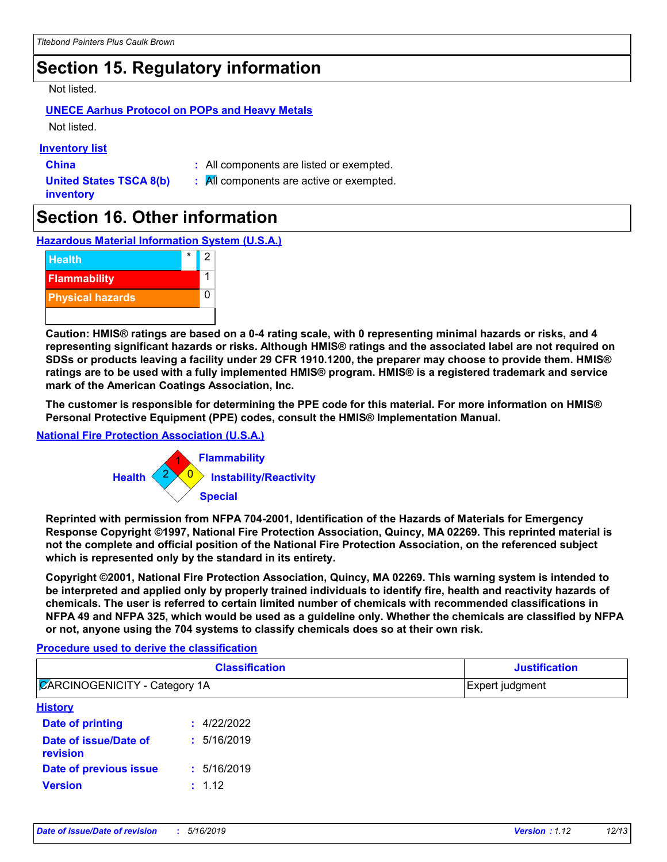# **Section 15. Regulatory information**

#### Not listed.

#### **UNECE Aarhus Protocol on POPs and Heavy Metals**

Not listed.

#### **Inventory list**

**China :** All components are listed or exempted.

**United States TSCA 8(b) inventory**

**:** All components are active or exempted.

# **Section 16. Other information**

**Hazardous Material Information System (U.S.A.)**



**Caution: HMIS® ratings are based on a 0-4 rating scale, with 0 representing minimal hazards or risks, and 4 representing significant hazards or risks. Although HMIS® ratings and the associated label are not required on SDSs or products leaving a facility under 29 CFR 1910.1200, the preparer may choose to provide them. HMIS® ratings are to be used with a fully implemented HMIS® program. HMIS® is a registered trademark and service mark of the American Coatings Association, Inc.**

**The customer is responsible for determining the PPE code for this material. For more information on HMIS® Personal Protective Equipment (PPE) codes, consult the HMIS® Implementation Manual.**

#### **National Fire Protection Association (U.S.A.)**



**Reprinted with permission from NFPA 704-2001, Identification of the Hazards of Materials for Emergency Response Copyright ©1997, National Fire Protection Association, Quincy, MA 02269. This reprinted material is not the complete and official position of the National Fire Protection Association, on the referenced subject which is represented only by the standard in its entirety.**

**Copyright ©2001, National Fire Protection Association, Quincy, MA 02269. This warning system is intended to be interpreted and applied only by properly trained individuals to identify fire, health and reactivity hazards of chemicals. The user is referred to certain limited number of chemicals with recommended classifications in NFPA 49 and NFPA 325, which would be used as a guideline only. Whether the chemicals are classified by NFPA or not, anyone using the 704 systems to classify chemicals does so at their own risk.**

#### **Procedure used to derive the classification**

| <b>Classification</b><br><b>ZARCINOGENICITY - Category 1A</b> |             | <b>Justification</b><br>Expert judgment |  |
|---------------------------------------------------------------|-------------|-----------------------------------------|--|
|                                                               |             |                                         |  |
| <b>Date of printing</b>                                       | : 4/22/2022 |                                         |  |
| Date of issue/Date of<br>revision                             | : 5/16/2019 |                                         |  |
| Date of previous issue                                        | : 5/16/2019 |                                         |  |
| <b>Version</b>                                                | : 1.12      |                                         |  |